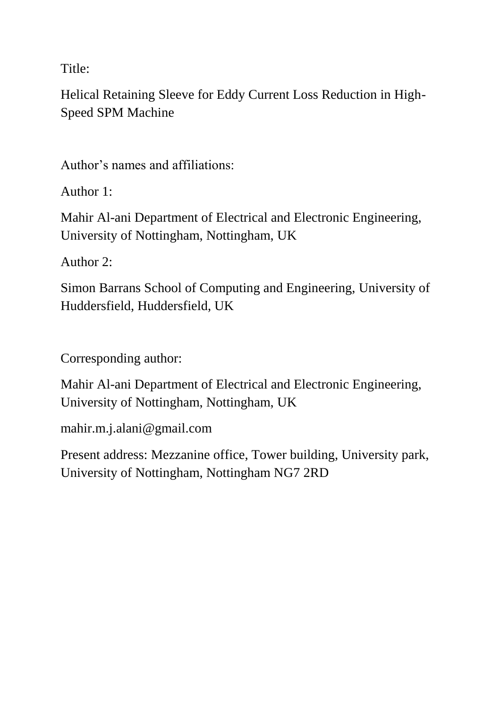Title:

Helical Retaining Sleeve for Eddy Current Loss Reduction in High-Speed SPM Machine

Author's names and affiliations:

Author 1:

Mahir Al-ani Department of Electrical and Electronic Engineering, University of Nottingham, Nottingham, UK

Author 2:

Simon Barrans School of Computing and Engineering, University of Huddersfield, Huddersfield, UK

Corresponding author:

Mahir Al-ani Department of Electrical and Electronic Engineering, University of Nottingham, Nottingham, UK

mahir.m.j.alani@gmail.com

Present address: Mezzanine office, Tower building, University park, University of Nottingham, Nottingham NG7 2RD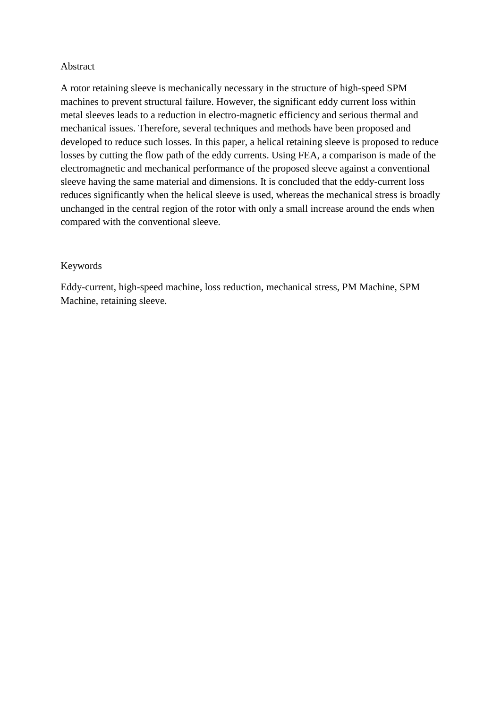#### Abstract

A rotor retaining sleeve is mechanically necessary in the structure of high-speed SPM machines to prevent structural failure. However, the significant eddy current loss within metal sleeves leads to a reduction in electro-magnetic efficiency and serious thermal and mechanical issues. Therefore, several techniques and methods have been proposed and developed to reduce such losses. In this paper, a helical retaining sleeve is proposed to reduce losses by cutting the flow path of the eddy currents. Using FEA, a comparison is made of the electromagnetic and mechanical performance of the proposed sleeve against a conventional sleeve having the same material and dimensions. It is concluded that the eddy-current loss reduces significantly when the helical sleeve is used, whereas the mechanical stress is broadly unchanged in the central region of the rotor with only a small increase around the ends when compared with the conventional sleeve.

#### Keywords

Eddy-current, high-speed machine, loss reduction, mechanical stress, PM Machine, SPM Machine, retaining sleeve.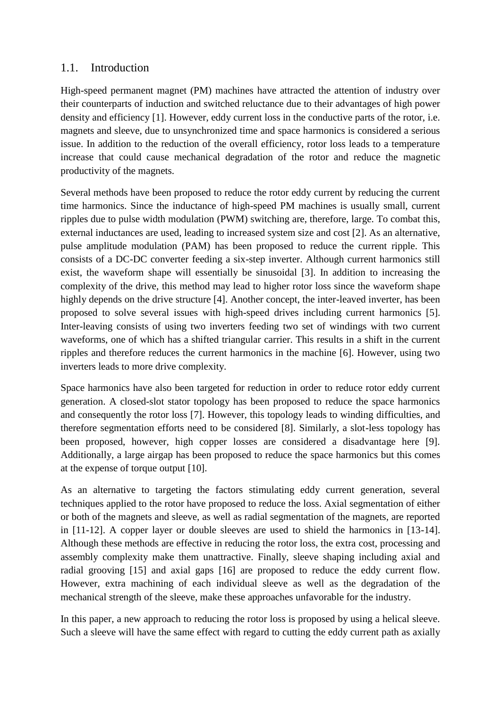### 1.1. Introduction

High-speed permanent magnet (PM) machines have attracted the attention of industry over their counterparts of induction and switched reluctance due to their advantages of high power density and efficiency [1]. However, eddy current loss in the conductive parts of the rotor, i.e. magnets and sleeve, due to unsynchronized time and space harmonics is considered a serious issue. In addition to the reduction of the overall efficiency, rotor loss leads to a temperature increase that could cause mechanical degradation of the rotor and reduce the magnetic productivity of the magnets.

Several methods have been proposed to reduce the rotor eddy current by reducing the current time harmonics. Since the inductance of high-speed PM machines is usually small, current ripples due to pulse width modulation (PWM) switching are, therefore, large. To combat this, external inductances are used, leading to increased system size and cost [2]. As an alternative, pulse amplitude modulation (PAM) has been proposed to reduce the current ripple. This consists of a DC-DC converter feeding a six-step inverter. Although current harmonics still exist, the waveform shape will essentially be sinusoidal [3]. In addition to increasing the complexity of the drive, this method may lead to higher rotor loss since the waveform shape highly depends on the drive structure [4]. Another concept, the inter-leaved inverter, has been proposed to solve several issues with high-speed drives including current harmonics [5]. Inter-leaving consists of using two inverters feeding two set of windings with two current waveforms, one of which has a shifted triangular carrier. This results in a shift in the current ripples and therefore reduces the current harmonics in the machine [6]. However, using two inverters leads to more drive complexity.

Space harmonics have also been targeted for reduction in order to reduce rotor eddy current generation. A closed-slot stator topology has been proposed to reduce the space harmonics and consequently the rotor loss [7]. However, this topology leads to winding difficulties, and therefore segmentation efforts need to be considered [8]. Similarly, a slot-less topology has been proposed, however, high copper losses are considered a disadvantage here [9]. Additionally, a large airgap has been proposed to reduce the space harmonics but this comes at the expense of torque output [10].

As an alternative to targeting the factors stimulating eddy current generation, several techniques applied to the rotor have proposed to reduce the loss. Axial segmentation of either or both of the magnets and sleeve, as well as radial segmentation of the magnets, are reported in [11-12]. A copper layer or double sleeves are used to shield the harmonics in [13-14]. Although these methods are effective in reducing the rotor loss, the extra cost, processing and assembly complexity make them unattractive. Finally, sleeve shaping including axial and radial grooving [15] and axial gaps [16] are proposed to reduce the eddy current flow. However, extra machining of each individual sleeve as well as the degradation of the mechanical strength of the sleeve, make these approaches unfavorable for the industry.

In this paper, a new approach to reducing the rotor loss is proposed by using a helical sleeve. Such a sleeve will have the same effect with regard to cutting the eddy current path as axially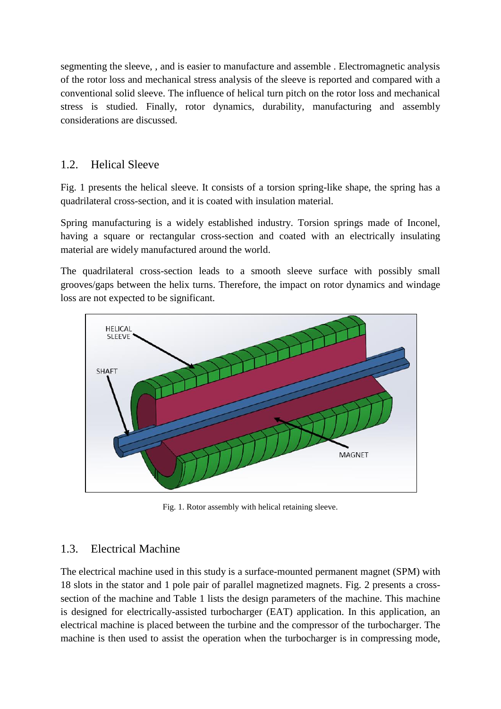segmenting the sleeve, , and is easier to manufacture and assemble . Electromagnetic analysis of the rotor loss and mechanical stress analysis of the sleeve is reported and compared with a conventional solid sleeve. The influence of helical turn pitch on the rotor loss and mechanical stress is studied. Finally, rotor dynamics, durability, manufacturing and assembly considerations are discussed.

# 1.2. Helical Sleeve

Fig. 1 presents the helical sleeve. It consists of a torsion spring-like shape, the spring has a quadrilateral cross-section, and it is coated with insulation material.

Spring manufacturing is a widely established industry. Torsion springs made of Inconel, having a square or rectangular cross-section and coated with an electrically insulating material are widely manufactured around the world.

The quadrilateral cross-section leads to a smooth sleeve surface with possibly small grooves/gaps between the helix turns. Therefore, the impact on rotor dynamics and windage loss are not expected to be significant.



Fig. 1. Rotor assembly with helical retaining sleeve.

# 1.3. Electrical Machine

The electrical machine used in this study is a surface-mounted permanent magnet (SPM) with 18 slots in the stator and 1 pole pair of parallel magnetized magnets. Fig. 2 presents a crosssection of the machine and Table 1 lists the design parameters of the machine. This machine is designed for electrically-assisted turbocharger (EAT) application. In this application, an electrical machine is placed between the turbine and the compressor of the turbocharger. The machine is then used to assist the operation when the turbocharger is in compressing mode,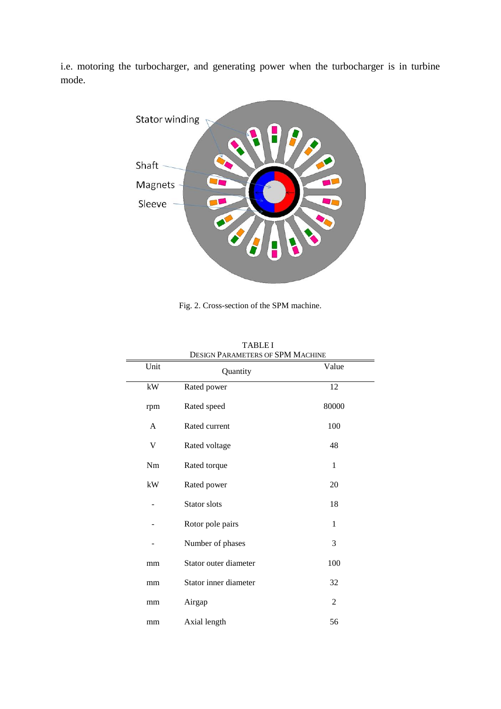i.e. motoring the turbocharger, and generating power when the turbocharger is in turbine mode.



Fig. 2. Cross-section of the SPM machine.

| Unit     | Quantity              | Value          |
|----------|-----------------------|----------------|
| kW       | Rated power           | 12             |
| rpm      | Rated speed           | 80000          |
| A        | Rated current         | 100            |
| V        | Rated voltage         | 48             |
| $\rm Nm$ | Rated torque          | $\mathbf{1}$   |
| kW       | Rated power           | 20             |
|          | Stator slots          | 18             |
|          | Rotor pole pairs      | 1              |
|          | Number of phases      | 3              |
| mm       | Stator outer diameter | 100            |
| mm       | Stator inner diameter | 32             |
| mm       | Airgap                | $\overline{c}$ |
| mm       | Axial length          | 56             |

| <b>TABLEI</b>                           |  |  |
|-----------------------------------------|--|--|
| <b>DESIGN PARAMETERS OF SPM MACHINE</b> |  |  |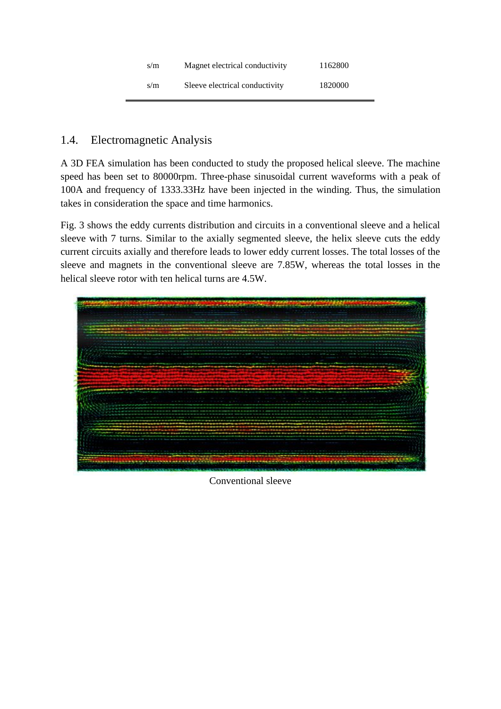| s/m | Magnet electrical conductivity | 1162800 |
|-----|--------------------------------|---------|
| s/m | Sleeve electrical conductivity | 1820000 |

# 1.4. Electromagnetic Analysis

A 3D FEA simulation has been conducted to study the proposed helical sleeve. The machine speed has been set to 80000rpm. Three-phase sinusoidal current waveforms with a peak of 100A and frequency of 1333.33Hz have been injected in the winding. Thus, the simulation takes in consideration the space and time harmonics.

Fig. 3 shows the eddy currents distribution and circuits in a conventional sleeve and a helical sleeve with 7 turns. Similar to the axially segmented sleeve, the helix sleeve cuts the eddy current circuits axially and therefore leads to lower eddy current losses. The total losses of the sleeve and magnets in the conventional sleeve are 7.85W, whereas the total losses in the helical sleeve rotor with ten helical turns are 4.5W.



Conventional sleeve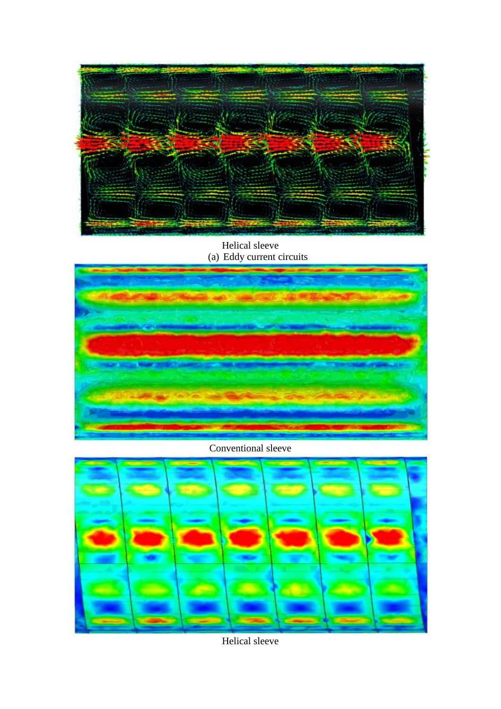

Helical sleeve (a) Eddy current circuits



Conventional sleeve



Helical sleeve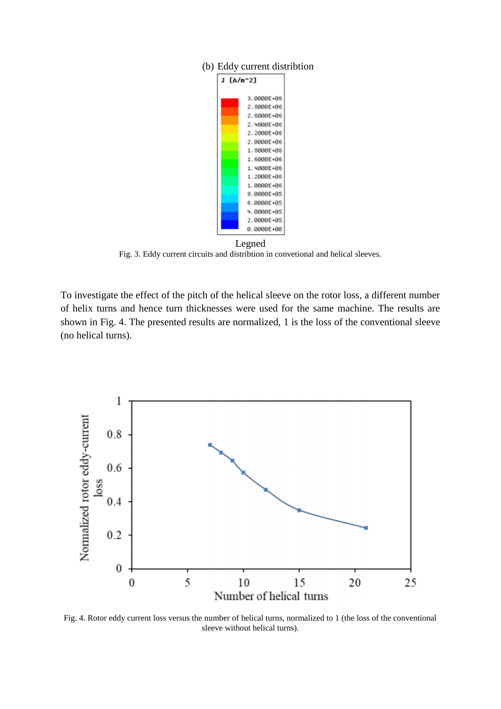

#### (b) Eddy current distribtion

Legned Fig. 3. Eddy current circuits and distribtion in convetional and helical sleeves.

To investigate the effect of the pitch of the helical sleeve on the rotor loss, a different number of helix turns and hence turn thicknesses were used for the same machine. The results are shown in Fig. 4. The presented results are normalized, 1 is the loss of the conventional sleeve (no helical turns).



Fig. 4. Rotor eddy current loss versus the number of helical turns, normalized to 1 (the loss of the conventional sleeve without helical turns).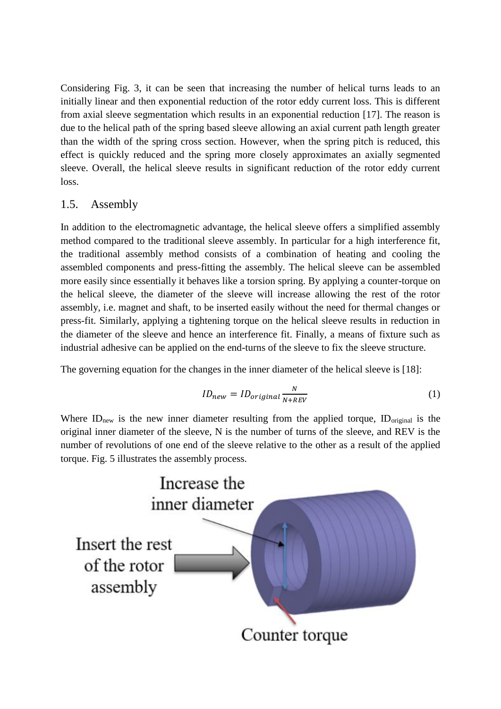Considering Fig. 3, it can be seen that increasing the number of helical turns leads to an initially linear and then exponential reduction of the rotor eddy current loss. This is different from axial sleeve segmentation which results in an exponential reduction [17]. The reason is due to the helical path of the spring based sleeve allowing an axial current path length greater than the width of the spring cross section. However, when the spring pitch is reduced, this effect is quickly reduced and the spring more closely approximates an axially segmented sleeve. Overall, the helical sleeve results in significant reduction of the rotor eddy current loss.

## 1.5. Assembly

In addition to the electromagnetic advantage, the helical sleeve offers a simplified assembly method compared to the traditional sleeve assembly. In particular for a high interference fit, the traditional assembly method consists of a combination of heating and cooling the assembled components and press-fitting the assembly. The helical sleeve can be assembled more easily since essentially it behaves like a torsion spring. By applying a counter-torque on the helical sleeve, the diameter of the sleeve will increase allowing the rest of the rotor assembly, i.e. magnet and shaft, to be inserted easily without the need for thermal changes or press-fit. Similarly, applying a tightening torque on the helical sleeve results in reduction in the diameter of the sleeve and hence an interference fit. Finally, a means of fixture such as industrial adhesive can be applied on the end-turns of the sleeve to fix the sleeve structure.

The governing equation for the changes in the inner diameter of the helical sleeve is [18]:

$$
ID_{new} = ID_{original} \frac{N}{N + REV}
$$
 (1)

Where  $ID<sub>new</sub>$  is the new inner diameter resulting from the applied torque,  $ID<sub>original</sub>$  is the original inner diameter of the sleeve, N is the number of turns of the sleeve, and REV is the number of revolutions of one end of the sleeve relative to the other as a result of the applied torque. Fig. 5 illustrates the assembly process.

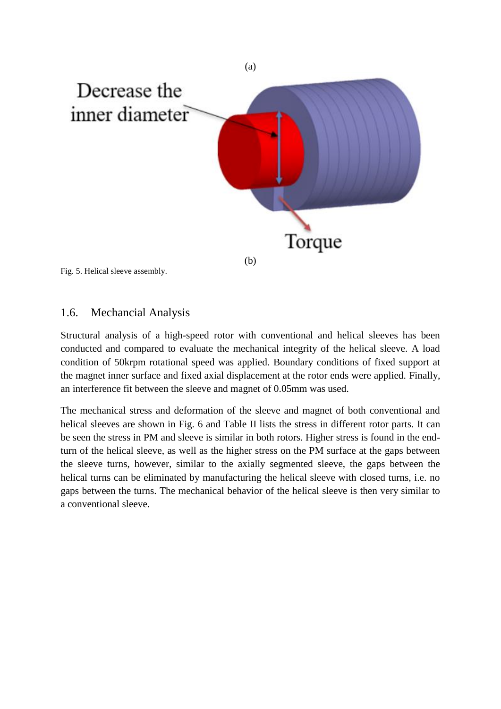

Fig. 5. Helical sleeve assembly.

### 1.6. Mechancial Analysis

Structural analysis of a high-speed rotor with conventional and helical sleeves has been conducted and compared to evaluate the mechanical integrity of the helical sleeve. A load condition of 50krpm rotational speed was applied. Boundary conditions of fixed support at the magnet inner surface and fixed axial displacement at the rotor ends were applied. Finally, an interference fit between the sleeve and magnet of 0.05mm was used.

The mechanical stress and deformation of the sleeve and magnet of both conventional and helical sleeves are shown in Fig. 6 and Table II lists the stress in different rotor parts. It can be seen the stress in PM and sleeve is similar in both rotors. Higher stress is found in the endturn of the helical sleeve, as well as the higher stress on the PM surface at the gaps between the sleeve turns, however, similar to the axially segmented sleeve, the gaps between the helical turns can be eliminated by manufacturing the helical sleeve with closed turns, i.e. no gaps between the turns. The mechanical behavior of the helical sleeve is then very similar to a conventional sleeve.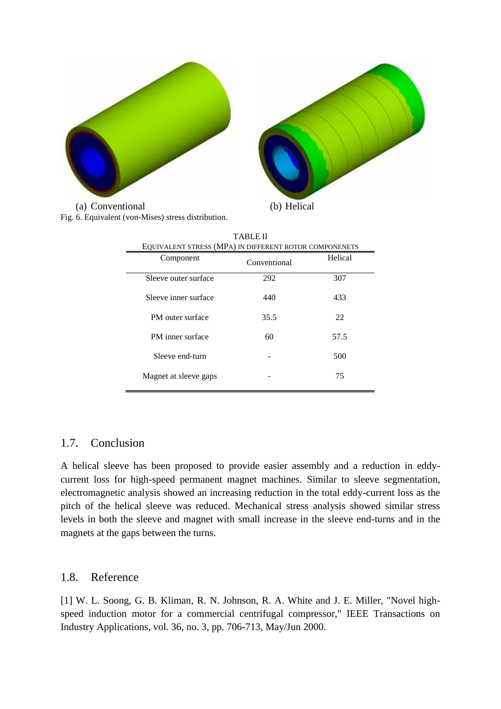

(a) Conventional (b) Helical Fig. 6. Equivalent (von-Mises) stress distribution.

| TABLE II                                               |              |         |  |  |  |
|--------------------------------------------------------|--------------|---------|--|--|--|
| EQUIVALENT STRESS (MPA) IN DIFFERENT ROTOR COMPONENETS |              |         |  |  |  |
| Component                                              | Conventional | Helical |  |  |  |
| Sleeve outer surface                                   | 292          | 307     |  |  |  |
| Sleeve inner surface                                   | 440          | 433     |  |  |  |
| PM outer surface                                       | 35.5         | 22      |  |  |  |
| PM inner surface                                       | 60           | 57.5    |  |  |  |
| Sleeve end-turn                                        |              | 500     |  |  |  |
| Magnet at sleeve gaps                                  |              | 75      |  |  |  |

A helical sleeve has been proposed to provide easier assembly and a reduction in eddycurrent loss for high-speed permanent magnet machines. Similar to sleeve segmentation, electromagnetic analysis showed an increasing reduction in the total eddy-current loss as the pitch of the helical sleeve was reduced. Mechanical stress analysis showed similar stress levels in both the sleeve and magnet with small increase in the sleeve end-turns and in the magnets at the gaps between the turns.

### 1.8. Reference

[1] W. L. Soong, G. B. Kliman, R. N. Johnson, R. A. White and J. E. Miller, "Novel highspeed induction motor for a commercial centrifugal compressor," IEEE Transactions on Industry Applications, vol. 36, no. 3, pp. 706-713, May/Jun 2000.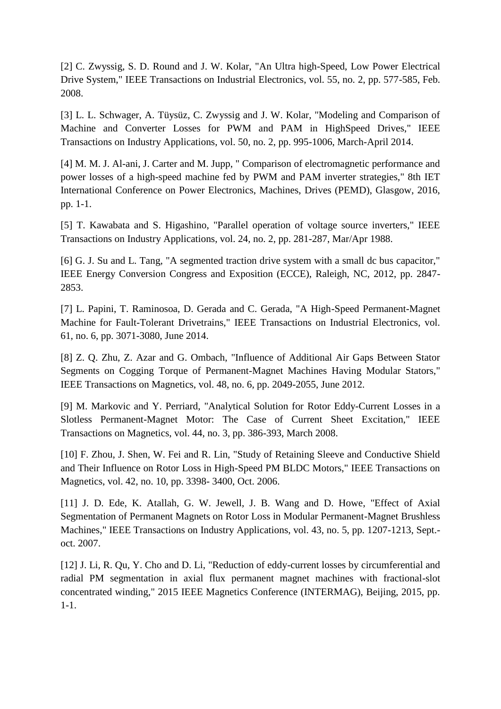[2] C. Zwyssig, S. D. Round and J. W. Kolar, "An Ultra high-Speed, Low Power Electrical Drive System," IEEE Transactions on Industrial Electronics, vol. 55, no. 2, pp. 577-585, Feb. 2008.

[3] L. L. Schwager, A. Tüysüz, C. Zwyssig and J. W. Kolar, "Modeling and Comparison of Machine and Converter Losses for PWM and PAM in HighSpeed Drives," IEEE Transactions on Industry Applications, vol. 50, no. 2, pp. 995-1006, March-April 2014.

[4] M. M. J. Al-ani, J. Carter and M. Jupp, " Comparison of electromagnetic performance and power losses of a high-speed machine fed by PWM and PAM inverter strategies," 8th IET International Conference on Power Electronics, Machines, Drives (PEMD), Glasgow, 2016, pp. 1-1.

[5] T. Kawabata and S. Higashino, "Parallel operation of voltage source inverters," IEEE Transactions on Industry Applications, vol. 24, no. 2, pp. 281-287, Mar/Apr 1988.

[6] G. J. Su and L. Tang, "A segmented traction drive system with a small dc bus capacitor," IEEE Energy Conversion Congress and Exposition (ECCE), Raleigh, NC, 2012, pp. 2847- 2853.

[7] L. Papini, T. Raminosoa, D. Gerada and C. Gerada, "A High-Speed Permanent-Magnet Machine for Fault-Tolerant Drivetrains," IEEE Transactions on Industrial Electronics, vol. 61, no. 6, pp. 3071-3080, June 2014.

[8] Z. Q. Zhu, Z. Azar and G. Ombach, "Influence of Additional Air Gaps Between Stator Segments on Cogging Torque of Permanent-Magnet Machines Having Modular Stators," IEEE Transactions on Magnetics, vol. 48, no. 6, pp. 2049-2055, June 2012.

[9] M. Markovic and Y. Perriard, "Analytical Solution for Rotor Eddy-Current Losses in a Slotless Permanent-Magnet Motor: The Case of Current Sheet Excitation," IEEE Transactions on Magnetics, vol. 44, no. 3, pp. 386-393, March 2008.

[10] F. Zhou, J. Shen, W. Fei and R. Lin, "Study of Retaining Sleeve and Conductive Shield and Their Influence on Rotor Loss in High-Speed PM BLDC Motors," IEEE Transactions on Magnetics, vol. 42, no. 10, pp. 3398- 3400, Oct. 2006.

[11] J. D. Ede, K. Atallah, G. W. Jewell, J. B. Wang and D. Howe, "Effect of Axial Segmentation of Permanent Magnets on Rotor Loss in Modular Permanent-Magnet Brushless Machines," IEEE Transactions on Industry Applications, vol. 43, no. 5, pp. 1207-1213, Sept. oct. 2007.

[12] J. Li, R. Qu, Y. Cho and D. Li, "Reduction of eddy-current losses by circumferential and radial PM segmentation in axial flux permanent magnet machines with fractional-slot concentrated winding," 2015 IEEE Magnetics Conference (INTERMAG), Beijing, 2015, pp. 1-1.